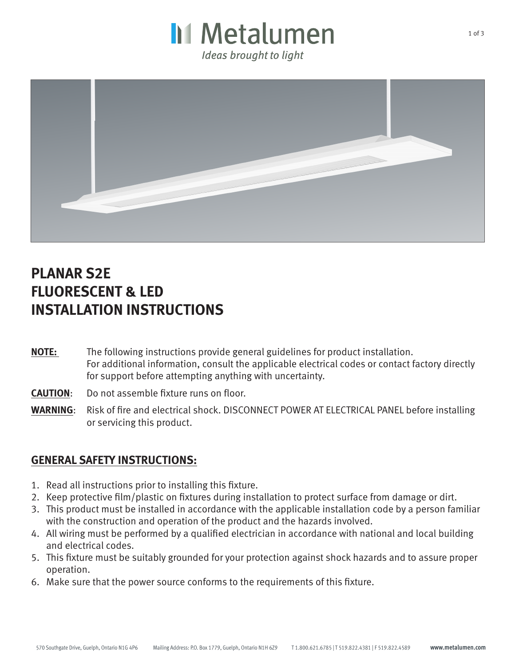



## **PLANAR S2E FLUORESCENT & LED INSTALLATION INSTRUCTIONS**

- **NOTE:** The following instructions provide general guidelines for product installation. For additional information, consult the applicable electrical codes or contact factory directly for support before attempting anything with uncertainty.
- **CAUTION**: Do not assemble fixture runs on floor.
- **WARNING**: Risk of fire and electrical shock. DISCONNECT POWER AT ELECTRICAL PANEL before installing or servicing this product.

### **GENERAL SAFETY INSTRUCTIONS:**

- 1. Read all instructions prior to installing this fixture.
- 2. Keep protective film/plastic on fixtures during installation to protect surface from damage or dirt.
- 3. This product must be installed in accordance with the applicable installation code by a person familiar with the construction and operation of the product and the hazards involved.
- 4. All wiring must be performed by a qualified electrician in accordance with national and local building and electrical codes.
- 5. This fixture must be suitably grounded for your protection against shock hazards and to assure proper operation.
- 6. Make sure that the power source conforms to the requirements of this fixture.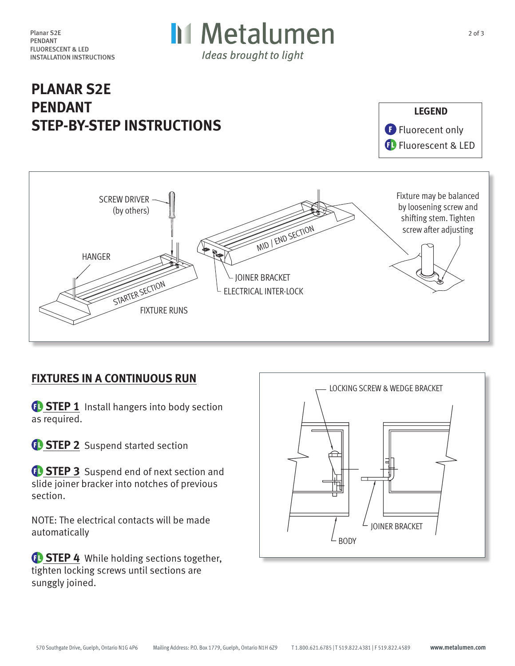

# **PLANAR S2E PENDANT STEP-BY-STEP INSTRUCTIONS**





### **FIXTURES IN A CONTINUOUS RUN**

*<b>B* STEP 1 Install hangers into body section as required.

*C* STEP 2 Suspend started section

*<b>B* STEP 3 Suspend end of next section and slide joiner bracker into notches of previous section.

NOTE: The electrical contacts will be made automatically

**<sup>6</sup>** STEP 4 While holding sections together, tighten locking screws until sections are sunggly joined.